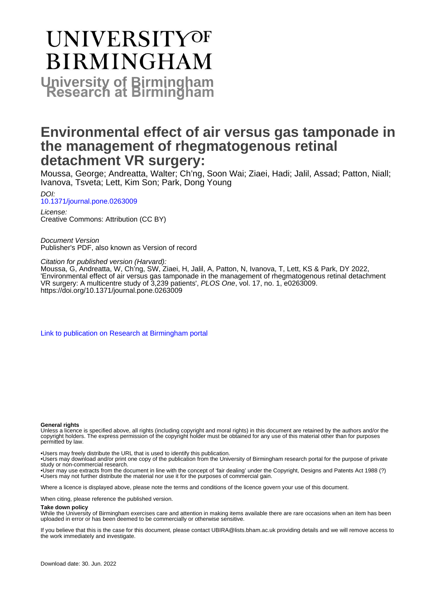# **UNIVERSITYOF BIRMINGHAM University of Birmingham**

# **Environmental effect of air versus gas tamponade in the management of rhegmatogenous retinal detachment VR surgery:**

Moussa, George; Andreatta, Walter; Ch'ng, Soon Wai; Ziaei, Hadi; Jalil, Assad; Patton, Niall; Ivanova, Tsveta; Lett, Kim Son; Park, Dong Young

DOI: [10.1371/journal.pone.0263009](https://doi.org/10.1371/journal.pone.0263009)

License: Creative Commons: Attribution (CC BY)

Document Version Publisher's PDF, also known as Version of record

Citation for published version (Harvard):

Moussa, G, Andreatta, W, Ch'ng, SW, Ziaei, H, Jalil, A, Patton, N, Ivanova, T, Lett, KS & Park, DY 2022, 'Environmental effect of air versus gas tamponade in the management of rhegmatogenous retinal detachment VR surgery: A multicentre study of 3,239 patients', PLOS One, vol. 17, no. 1, e0263009. <https://doi.org/10.1371/journal.pone.0263009>

[Link to publication on Research at Birmingham portal](https://birmingham.elsevierpure.com/en/publications/f8932866-f97e-4f8b-9a3c-5a6237b01ff9)

#### **General rights**

Unless a licence is specified above, all rights (including copyright and moral rights) in this document are retained by the authors and/or the copyright holders. The express permission of the copyright holder must be obtained for any use of this material other than for purposes permitted by law.

• Users may freely distribute the URL that is used to identify this publication.

• Users may download and/or print one copy of the publication from the University of Birmingham research portal for the purpose of private study or non-commercial research.

• User may use extracts from the document in line with the concept of 'fair dealing' under the Copyright, Designs and Patents Act 1988 (?) • Users may not further distribute the material nor use it for the purposes of commercial gain.

Where a licence is displayed above, please note the terms and conditions of the licence govern your use of this document.

When citing, please reference the published version.

#### **Take down policy**

While the University of Birmingham exercises care and attention in making items available there are rare occasions when an item has been uploaded in error or has been deemed to be commercially or otherwise sensitive.

If you believe that this is the case for this document, please contact UBIRA@lists.bham.ac.uk providing details and we will remove access to the work immediately and investigate.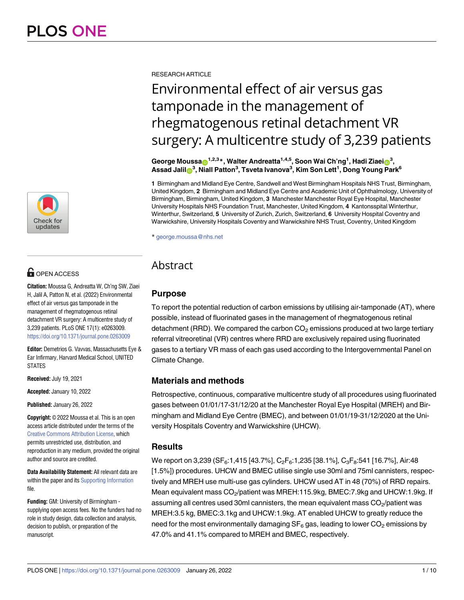

## $\blacksquare$  OPEN ACCESS

**Citation:** Moussa G, Andreatta W, Ch'ng SW, Ziaei H, Jalil A, Patton N, et al. (2022) Environmental effect of air versus gas tamponade in the management of rhegmatogenous retinal detachment VR surgery: A multicentre study of 3,239 patients. PLoS ONE 17(1): e0263009. <https://doi.org/10.1371/journal.pone.0263009>

**Editor:** Demetrios G. Vavvas, Massachusetts Eye & Ear Infirmary, Harvard Medical School, UNITED **STATES** 

**Received:** July 19, 2021

**Accepted:** January 10, 2022

**Published:** January 26, 2022

**Copyright:** © 2022 Moussa et al. This is an open access article distributed under the terms of the Creative Commons [Attribution](http://creativecommons.org/licenses/by/4.0/) License, which permits unrestricted use, distribution, and reproduction in any medium, provided the original author and source are credited.

**Data Availability Statement:** All relevant data are within the paper and its Supporting [Information](#page-8-0) file.

**Funding:** GM: University of Birmingham supplying open access fees. No the funders had no role in study design, data collection and analysis. decision to publish, or preparation of the manuscript.

RESEARCH ARTICLE

# Environmental effect of air versus gas tamponade in the management of rhegmatogenous retinal detachment VR surgery: A multicentre study of 3,239 patients

 $\bf{George Moussa@}^{1,2,3}$ \*, Walter Andreatta $^{1,4,5}$ , Soon Wai Ch'ng $^1$ , Hadi Ziaei $\bf{O}^3$ ,  $\Lambda$ Ssad Jalil $\bigcirc^{3}$ , Niall Patton $^3$ , Tsveta Ivanova $^3$ , Kim Son Lett<sup>1</sup>, Dong Young Park $^6$ 

**1** Birmingham and Midland Eye Centre, Sandwell and West Birmingham Hospitals NHS Trust, Birmingham, United Kingdom, **2** Birmingham and Midland Eye Centre and Academic Unit of Ophthalmology, University of Birmingham, Birmingham, United Kingdom, **3** Manchester Manchester Royal Eye Hospital, Manchester University Hospitals NHS Foundation Trust, Manchester, United Kingdom, **4** Kantonsspital Winterthur, Winterthur, Switzerland, **5** University of Zurich, Zurich, Switzerland, **6** University Hospital Coventry and Warwickshire, University Hospitals Coventry and Warwickshire NHS Trust, Coventry, United Kingdom

\* george.moussa@nhs.net

### Abstract

### **Purpose**

To report the potential reduction of carbon emissions by utilising air-tamponade (AT), where possible, instead of fluorinated gases in the management of rhegmatogenous retinal detachment (RRD). We compared the carbon  $CO<sub>2</sub>$  emissions produced at two large tertiary referral vitreoretinal (VR) centres where RRD are exclusively repaired using fluorinated gases to a tertiary VR mass of each gas used according to the Intergovernmental Panel on Climate Change.

### **Materials and methods**

Retrospective, continuous, comparative multicentre study of all procedures using fluorinated gases between 01/01/17-31/12/20 at the Manchester Royal Eye Hospital (MREH) and Birmingham and Midland Eye Centre (BMEC), and between 01/01/19-31/12/2020 at the University Hospitals Coventry and Warwickshire (UHCW).

### **Results**

We report on 3,239 (SF<sub>6</sub>:1,415 [43.7%], C<sub>2</sub>F<sub>6</sub>:1,235 [38.1%], C<sub>3</sub>F<sub>8</sub>:541 [16.7%], Air:48 [1.5%]) procedures. UHCW and BMEC utilise single use 30ml and 75ml cannisters, respectively and MREH use multi-use gas cylinders. UHCW used AT in 48 (70%) of RRD repairs. Mean equivalent mass  $CO_2$ /patient was MREH:115.9kg, BMEC:7.9kg and UHCW:1.9kg. If assuming all centres used 30ml cannisters, the mean equivalent mass  $CO_2$ /patient was MREH:3.5 kg, BMEC:3.1kg and UHCW:1.9kg. AT enabled UHCW to greatly reduce the need for the most environmentally damaging  $SF<sub>6</sub>$  gas, leading to lower CO<sub>2</sub> emissions by 47.0% and 41.1% compared to MREH and BMEC, respectively.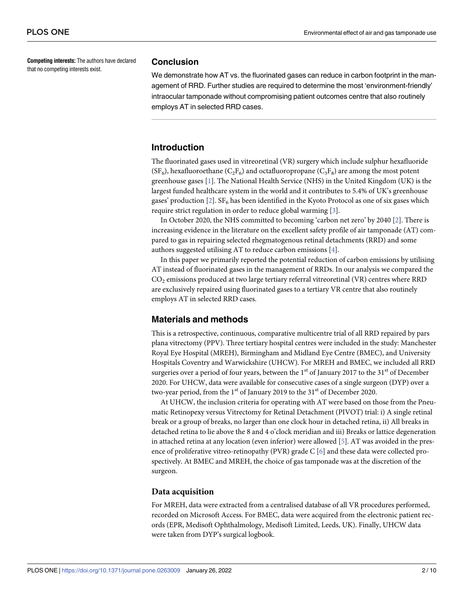<span id="page-2-0"></span>**Competing interests:** The authors have declared that no competing interests exist.

#### **Conclusion**

We demonstrate how AT vs. the fluorinated gases can reduce in carbon footprint in the management of RRD. Further studies are required to determine the most 'environment-friendly' intraocular tamponade without compromising patient outcomes centre that also routinely employs AT in selected RRD cases.

#### **Introduction**

The fluorinated gases used in vitreoretinal (VR) surgery which include sulphur hexafluoride  $(SF_6)$ , hexafluoroethane  $(C_2F_6)$  and octafluoropropane  $(C_3F_8)$  are among the most potent greenhouse gases [\[1\]](#page-9-0). The National Health Service (NHS) in the United Kingdom (UK) is the largest funded healthcare system in the world and it contributes to 5.4% of UK's greenhouse gases' production [\[2](#page-9-0)].  $SF<sub>6</sub>$  has been identified in the Kyoto Protocol as one of six gases which require strict regulation in order to reduce global warming [\[3](#page-9-0)].

In October 2020, the NHS committed to becoming 'carbon net zero' by 2040 [[2](#page-9-0)]. There is increasing evidence in the literature on the excellent safety profile of air tamponade (AT) compared to gas in repairing selected rhegmatogenous retinal detachments (RRD) and some authors suggested utilising AT to reduce carbon emissions [\[4](#page-9-0)].

In this paper we primarily reported the potential reduction of carbon emissions by utilising AT instead of fluorinated gases in the management of RRDs. In our analysis we compared the  $CO<sub>2</sub>$  emissions produced at two large tertiary referral vitreoretinal (VR) centres where RRD are exclusively repaired using fluorinated gases to a tertiary VR centre that also routinely employs AT in selected RRD cases.

#### **Materials and methods**

This is a retrospective, continuous, comparative multicentre trial of all RRD repaired by pars plana vitrectomy (PPV). Three tertiary hospital centres were included in the study: Manchester Royal Eye Hospital (MREH), Birmingham and Midland Eye Centre (BMEC), and University Hospitals Coventry and Warwickshire (UHCW). For MREH and BMEC, we included all RRD surgeries over a period of four years, between the  $1<sup>st</sup>$  of January 2017 to the 31 $<sup>st</sup>$  of December</sup> 2020. For UHCW, data were available for consecutive cases of a single surgeon (DYP) over a two-year period, from the 1<sup>st</sup> of January 2019 to the 31<sup>st</sup> of December 2020.

At UHCW, the inclusion criteria for operating with AT were based on those from the Pneumatic Retinopexy versus Vitrectomy for Retinal Detachment (PIVOT) trial: i) A single retinal break or a group of breaks, no larger than one clock hour in detached retina, ii) All breaks in detached retina to lie above the 8 and 4 o'clock meridian and iii) Breaks or lattice degeneration in attached retina at any location (even inferior) were allowed [\[5\]](#page-9-0). AT was avoided in the presence of proliferative vitreo-retinopathy (PVR) grade  $C$  [\[6\]](#page-9-0) and these data were collected prospectively. At BMEC and MREH, the choice of gas tamponade was at the discretion of the surgeon.

#### **Data acquisition**

For MREH, data were extracted from a centralised database of all VR procedures performed, recorded on Microsoft Access. For BMEC, data were acquired from the electronic patient records (EPR, Medisoft Ophthalmology, Medisoft Limited, Leeds, UK). Finally, UHCW data were taken from DYP's surgical logbook.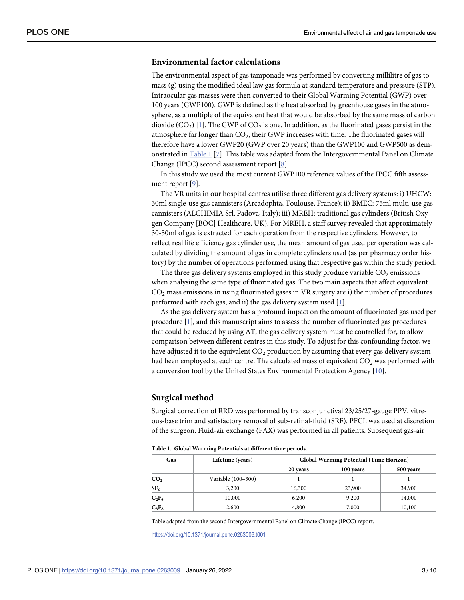#### <span id="page-3-0"></span>**Environmental factor calculations**

The environmental aspect of gas tamponade was performed by converting millilitre of gas to mass (g) using the modified ideal law gas formula at standard temperature and pressure (STP). Intraocular gas masses were then converted to their Global Warming Potential (GWP) over 100 years (GWP100). GWP is defined as the heat absorbed by greenhouse gases in the atmosphere, as a multiple of the equivalent heat that would be absorbed by the same mass of carbon dioxide  $(CO_2)$  [\[1\]](#page-9-0). The GWP of  $CO_2$  is one. In addition, as the fluorinated gases persist in the atmosphere far longer than CO<sub>2</sub>, their GWP increases with time. The fluorinated gases will therefore have a lower GWP20 (GWP over 20 years) than the GWP100 and GWP500 as demonstrated in Table 1 [\[7\]](#page-9-0). This table was adapted from the Intergovernmental Panel on Climate Change (IPCC) second assessment report [[8\]](#page-9-0).

In this study we used the most current GWP100 reference values of the IPCC fifth assessment report [[9](#page-9-0)].

The VR units in our hospital centres utilise three different gas delivery systems: i) UHCW: 30ml single-use gas cannisters (Arcadophta, Toulouse, France); ii) BMEC: 75ml multi-use gas cannisters (ALCHIMIA Srl, Padova, Italy); iii) MREH: traditional gas cylinders (British Oxygen Company [BOC] Healthcare, UK). For MREH, a staff survey revealed that approximately 30-50ml of gas is extracted for each operation from the respective cylinders. However, to reflect real life efficiency gas cylinder use, the mean amount of gas used per operation was calculated by dividing the amount of gas in complete cylinders used (as per pharmacy order history) by the number of operations performed using that respective gas within the study period.

The three gas delivery systems employed in this study produce variable  $CO<sub>2</sub>$  emissions when analysing the same type of fluorinated gas. The two main aspects that affect equivalent  $CO<sub>2</sub>$  mass emissions in using fluorinated gases in VR surgery are i) the number of procedures performed with each gas, and ii) the gas delivery system used [\[1\]](#page-9-0).

As the gas delivery system has a profound impact on the amount of fluorinated gas used per procedure [[1](#page-9-0)], and this manuscript aims to assess the number of fluorinated gas procedures that could be reduced by using AT, the gas delivery system must be controlled for, to allow comparison between different centres in this study. To adjust for this confounding factor, we have adjusted it to the equivalent  $CO<sub>2</sub>$  production by assuming that every gas delivery system had been employed at each centre. The calculated mass of equivalent  $CO<sub>2</sub>$  was performed with a conversion tool by the United States Environmental Protection Agency [[10](#page-9-0)].

#### **Surgical method**

Surgical correction of RRD was performed by transconjunctival 23/25/27-gauge PPV, vitreous-base trim and satisfactory removal of sub-retinal-fluid (SRF). PFCL was used at discretion of the surgeon. Fluid-air exchange (FAX) was performed in all patients. Subsequent gas-air

|  |  |  | Table 1. Global Warming Potentials at different time periods. |  |  |  |
|--|--|--|---------------------------------------------------------------|--|--|--|
|--|--|--|---------------------------------------------------------------|--|--|--|

| Gas             | Lifetime (years)   | <b>Global Warming Potential (Time Horizon)</b> |           |           |  |
|-----------------|--------------------|------------------------------------------------|-----------|-----------|--|
|                 |                    | 20 years                                       | 100 years | 500 years |  |
| CO <sub>2</sub> | Variable (100-300) |                                                |           |           |  |
| SF <sub>6</sub> | 3,200              | 16,300                                         | 23,900    | 34,900    |  |
| $C_2F_6$        | 10,000             | 6,200                                          | 9,200     | 14,000    |  |
| $C_3F_8$        | 2,600              | 4,800                                          | 7,000     | 10,100    |  |

Table adapted from the second Intergovernmental Panel on Climate Change (IPCC) report.

<https://doi.org/10.1371/journal.pone.0263009.t001>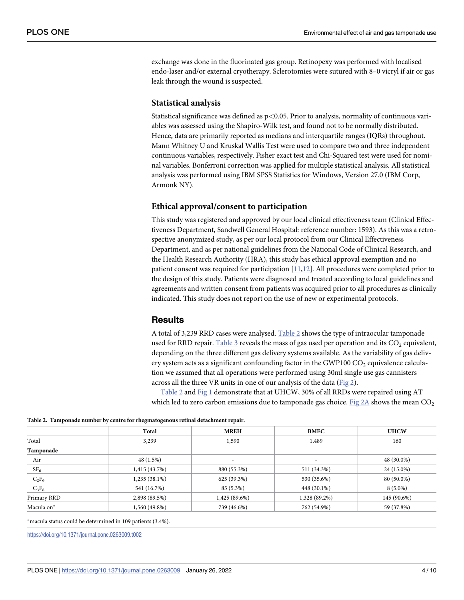<span id="page-4-0"></span>exchange was done in the fluorinated gas group. Retinopexy was performed with localised endo-laser and/or external cryotherapy. Sclerotomies were sutured with 8–0 vicryl if air or gas leak through the wound is suspected.

#### **Statistical analysis**

Statistical significance was defined as p*<*0.05. Prior to analysis, normality of continuous variables was assessed using the Shapiro-Wilk test, and found not to be normally distributed. Hence, data are primarily reported as medians and interquartile ranges (IQRs) throughout. Mann Whitney U and Kruskal Wallis Test were used to compare two and three independent continuous variables, respectively. Fisher exact test and Chi-Squared test were used for nominal variables. Bonferroni correction was applied for multiple statistical analysis. All statistical analysis was performed using IBM SPSS Statistics for Windows, Version 27.0 (IBM Corp, Armonk NY).

#### **Ethical approval/consent to participation**

This study was registered and approved by our local clinical effectiveness team (Clinical Effectiveness Department, Sandwell General Hospital: reference number: 1593). As this was a retrospective anonymized study, as per our local protocol from our Clinical Effectiveness Department, and as per national guidelines from the National Code of Clinical Research, and the Health Research Authority (HRA), this study has ethical approval exemption and no patient consent was required for participation [[11](#page-9-0),[12\]](#page-9-0). All procedures were completed prior to the design of this study. Patients were diagnosed and treated according to local guidelines and agreements and written consent from patients was acquired prior to all procedures as clinically indicated. This study does not report on the use of new or experimental protocols.

#### **Results**

A total of 3,239 RRD cases were analysed. Table 2 shows the type of intraocular tamponade used for RRD repair. [Table](#page-5-0) 3 reveals the mass of gas used per operation and its  $CO<sub>2</sub>$  equivalent, depending on the three different gas delivery systems available. As the variability of gas delivery system acts as a significant confounding factor in the GWP100  $CO<sub>2</sub>$  equivalence calculation we assumed that all operations were performed using 30ml single use gas cannisters across all the three VR units in one of our analysis of the data ([Fig](#page-6-0) 2).

Table 2 and [Fig](#page-5-0) 1 demonstrate that at UHCW, 30% of all RRDs were repaired using AT which led to zero carbon emissions due to tamponade gas choice. [Fig](#page-6-0)  $2A$  shows the mean  $CO<sub>2</sub>$ 

| Table 2. Tamponade number by centre for rhegmatogenous retinal detachment repair. |  |  |
|-----------------------------------------------------------------------------------|--|--|
|                                                                                   |  |  |

|                 | Total           | <b>MREH</b>              | <b>BMEC</b>   | <b>UHCW</b> |
|-----------------|-----------------|--------------------------|---------------|-------------|
| Total           | 3,239           | 1,590                    | 1,489         | 160         |
| Tamponade       |                 |                          |               |             |
| Air             | 48 (1.5%)       | $\overline{\phantom{a}}$ |               | 48 (30.0%)  |
| SF <sub>6</sub> | 1,415(43.7%)    | 880 (55.3%)              | 511 (34.3%)   | 24 (15.0%)  |
| $C_2F_6$        | $1,235(38.1\%)$ | 625 (39.3%)              | 530 (35.6%)   | 80 (50.0%)  |
| $C_3F_8$        | 541 (16.7%)     | 85 (5.3%)                | 448 (30.1%)   | $8(5.0\%)$  |
| Primary RRD     | 2,898 (89.5%)   | 1,425 (89.6%)            | 1,328 (89.2%) | 145 (90.6%) |
| Macula on*      | 1,560 (49.8%)   | 739 (46.6%)              | 762 (54.9%)   | 59 (37.8%)  |

�macula status could be determined in 109 patients (3.4%).

<https://doi.org/10.1371/journal.pone.0263009.t002>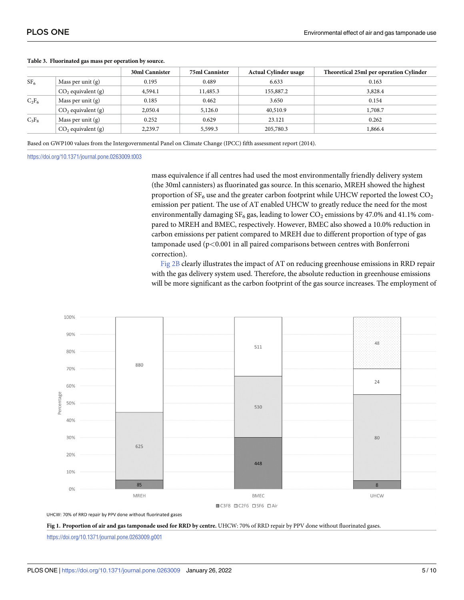|                      | <b>30ml Cannister</b> | <b>75ml Cannister</b> | <b>Actual Cylinder usage</b> | Theoretical 25ml per operation Cylinder |
|----------------------|-----------------------|-----------------------|------------------------------|-----------------------------------------|
| Mass per unit $(g)$  | 0.195                 | 0.489                 | 6.633                        | 0.163                                   |
| $CO2$ equivalent (g) | 4,594.1               | 11,485.3              | 155,887.2                    | 3,828.4                                 |
| Mass per unit (g)    | 0.185                 | 0.462                 | 3.650                        | 0.154                                   |
| $CO2$ equivalent (g) | 2,050.4               | 5,126.0               | 40,510.9                     | 1,708.7                                 |
| Mass per unit $(g)$  | 0.252                 | 0.629                 | 23.121                       | 0.262                                   |
| $CO2$ equivalent (g) | 2,239.7               | 5,599.3               | 205,780.3                    | 1,866.4                                 |
|                      |                       |                       |                              |                                         |

#### <span id="page-5-0"></span>**[Table](#page-4-0) 3. Fluorinated gas mass per operation by source.**

Based on GWP100 values from the Intergovernmental Panel on Climate Change (IPCC) fifth assessment report (2014).

<https://doi.org/10.1371/journal.pone.0263009.t003>

mass equivalence if all centres had used the most environmentally friendly delivery system (the 30ml cannisters) as fluorinated gas source. In this scenario, MREH showed the highest proportion of  $SF_6$  use and the greater carbon footprint while UHCW reported the lowest  $CO_2$ emission per patient. The use of AT enabled UHCW to greatly reduce the need for the most environmentally damaging  $SF_6$  gas, leading to lower  $CO_2$  emissions by 47.0% and 41.1% compared to MREH and BMEC, respectively. However, BMEC also showed a 10.0% reduction in carbon emissions per patient compared to MREH due to different proportion of type of gas tamponade used (p*<*0.001 in all paired comparisons between centres with Bonferroni correction).

[Fig](#page-6-0) 2B clearly illustrates the impact of AT on reducing greenhouse emissions in RRD repair with the gas delivery system used. Therefore, the absolute reduction in greenhouse emissions will be more significant as the carbon footprint of the gas source increases. The employment of



UHCW: 70% of RRD repair by PPV done without fluorinated gases



<https://doi.org/10.1371/journal.pone.0263009.g001>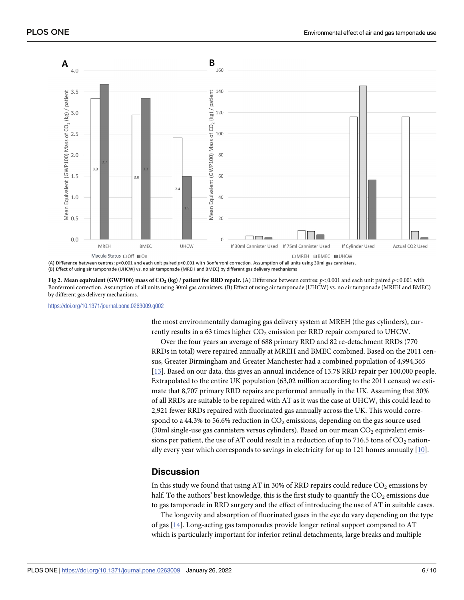<span id="page-6-0"></span>

(B) Effect of using air tamponade (UHCW) vs. no air tamponade (MREH and BMEC) by different gas delivery mechanisms

[Fig](#page-4-0) 2. Mean equivalent (GWP100) mass of CO<sub>2</sub> (kg) / patient for RRD repair. (A) Difference between centres:  $p < 0.001$  and each unit paired  $p < 0.001$  with Bonferroni correction. Assumption of all units using 30ml gas cannisters. (B) Effect of using air tamponade (UHCW) vs. no air tamponade (MREH and BMEC) by different gas delivery mechanisms.

<https://doi.org/10.1371/journal.pone.0263009.g002>

the most environmentally damaging gas delivery system at MREH (the gas cylinders), currently results in a 63 times higher  $CO<sub>2</sub>$  emission per RRD repair compared to UHCW.

Over the four years an average of 688 primary RRD and 82 re-detachment RRDs (770 RRDs in total) were repaired annually at MREH and BMEC combined. Based on the 2011 census, Greater Birmingham and Greater Manchester had a combined population of 4,994,365 [\[13\]](#page-9-0). Based on our data, this gives an annual incidence of 13.78 RRD repair per 100,000 people. Extrapolated to the entire UK population (63,02 million according to the 2011 census) we estimate that 8,707 primary RRD repairs are performed annually in the UK. Assuming that 30% of all RRDs are suitable to be repaired with AT as it was the case at UHCW, this could lead to 2,921 fewer RRDs repaired with fluorinated gas annually across the UK. This would correspond to a 44.3% to 56.6% reduction in  $CO<sub>2</sub>$  emissions, depending on the gas source used (30ml single-use gas cannisters versus cylinders). Based on our mean  $CO<sub>2</sub>$  equivalent emissions per patient, the use of AT could result in a reduction of up to 716.5 tons of  $CO_2$  nationally every year which corresponds to savings in electricity for up to 121 homes annually [\[10\]](#page-9-0).

#### **Discussion**

In this study we found that using AT in 30% of RRD repairs could reduce  $CO<sub>2</sub>$  emissions by half. To the authors' best knowledge, this is the first study to quantify the  $CO<sub>2</sub>$  emissions due to gas tamponade in RRD surgery and the effect of introducing the use of AT in suitable cases.

The longevity and absorption of fluorinated gases in the eye do vary depending on the type of gas [\[14\]](#page-9-0). Long-acting gas tamponades provide longer retinal support compared to AT which is particularly important for inferior retinal detachments, large breaks and multiple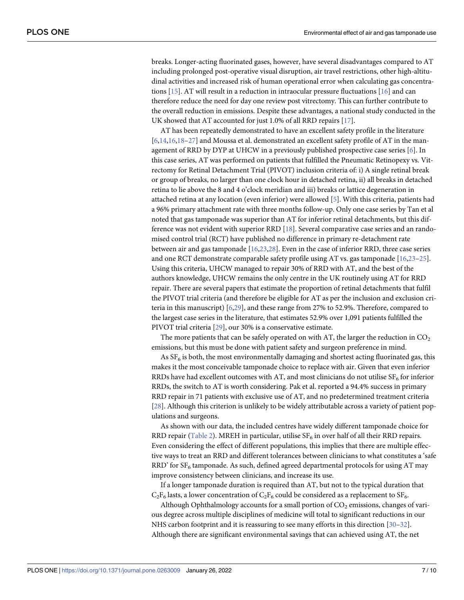<span id="page-7-0"></span>breaks. Longer-acting fluorinated gases, however, have several disadvantages compared to AT including prolonged post-operative visual disruption, air travel restrictions, other high-altitudinal activities and increased risk of human operational error when calculating gas concentrations [\[15\]](#page-9-0). AT will result in a reduction in intraocular pressure fluctuations [[16](#page-9-0)] and can therefore reduce the need for day one review post vitrectomy. This can further contribute to the overall reduction in emissions. Despite these advantages, a national study conducted in the UK showed that AT accounted for just 1.0% of all RRD repairs [[17](#page-9-0)].

AT has been repeatedly demonstrated to have an excellent safety profile in the literature [\[6,14,16,18](#page-9-0)–[27](#page-10-0)] and Moussa et al. demonstrated an excellent safety profile of AT in the management of RRD by DYP at UHCW in a previously published prospective case series [[6](#page-9-0)]. In this case series, AT was performed on patients that fulfilled the Pneumatic Retinopexy vs. Vitrectomy for Retinal Detachment Trial (PIVOT) inclusion criteria of: i) A single retinal break or group of breaks, no larger than one clock hour in detached retina, ii) all breaks in detached retina to lie above the 8 and 4 o'clock meridian and iii) breaks or lattice degeneration in attached retina at any location (even inferior) were allowed [[5\]](#page-9-0). With this criteria, patients had a 96% primary attachment rate with three months follow-up. Only one case series by Tan et al noted that gas tamponade was superior than AT for inferior retinal detachments, but this difference was not evident with superior RRD [[18](#page-9-0)]. Several comparative case series and an randomised control trial (RCT) have published no difference in primary re-detachment rate between air and gas tamponade [\[16](#page-9-0),[23](#page-10-0),[28](#page-10-0)]. Even in the case of inferior RRD, three case series and one RCT demonstrate comparable safety profile using AT vs. gas tamponade [\[16,](#page-9-0)[23](#page-10-0)–[25](#page-10-0)]. Using this criteria, UHCW managed to repair 30% of RRD with AT, and the best of the authors knowledge, UHCW remains the only centre in the UK routinely using AT for RRD repair. There are several papers that estimate the proportion of retinal detachments that fulfil the PIVOT trial criteria (and therefore be eligible for AT as per the inclusion and exclusion criteria in this manuscript) [[6,](#page-9-0)[29](#page-10-0)], and these range from 27% to 52.9%. Therefore, compared to the largest case series in the literature, that estimates 52.9% over 1,091 patients fulfilled the PIVOT trial criteria [\[29\]](#page-10-0), our 30% is a conservative estimate.

The more patients that can be safely operated on with AT, the larger the reduction in  $CO<sub>2</sub>$ emissions, but this must be done with patient safety and surgeon preference in mind.

As  $SF<sub>6</sub>$  is both, the most environmentally damaging and shortest acting fluorinated gas, this makes it the most conceivable tamponade choice to replace with air. Given that even inferior RRDs have had excellent outcomes with AT, and most clinicians do not utilise  $SF<sub>6</sub>$  for inferior RRDs, the switch to AT is worth considering. Pak et al. reported a 94.4% success in primary RRD repair in 71 patients with exclusive use of AT, and no predetermined treatment criteria [\[28\]](#page-10-0). Although this criterion is unlikely to be widely attributable across a variety of patient populations and surgeons.

As shown with our data, the included centres have widely different tamponade choice for RRD repair [\(Table](#page-4-0) 2). MREH in particular, utilise  $SF_6$  in over half of all their RRD repairs. Even considering the effect of different populations, this implies that there are multiple effective ways to treat an RRD and different tolerances between clinicians to what constitutes a 'safe RRD' for  $SF<sub>6</sub>$  tamponade. As such, defined agreed departmental protocols for using AT may improve consistency between clinicians, and increase its use.

If a longer tamponade duration is required than AT, but not to the typical duration that  $C_2F_6$  lasts, a lower concentration of  $C_2F_6$  could be considered as a replacement to SF<sub>6</sub>.

Although Ophthalmology accounts for a small portion of  $CO<sub>2</sub>$  emissions, changes of various degree across multiple disciplines of medicine will total to significant reductions in our NHS carbon footprint and it is reassuring to see many efforts in this direction [\[30–32\]](#page-10-0). Although there are significant environmental savings that can achieved using AT, the net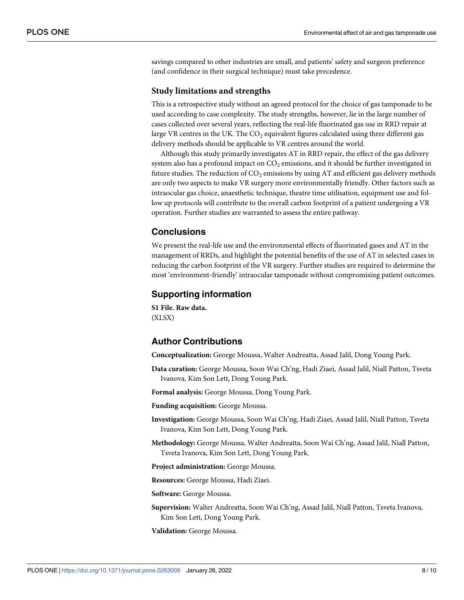<span id="page-8-0"></span>savings compared to other industries are small, and patients' safety and surgeon preference (and confidence in their surgical technique) must take precedence.

#### **Study limitations and strengths**

This is a retrospective study without an agreed protocol for the choice of gas tamponade to be used according to case complexity. The study strengths, however, lie in the large number of cases collected over several years, reflecting the real-life fluorinated gas use in RRD repair at large VR centres in the UK. The  $CO<sub>2</sub>$  equivalent figures calculated using three different gas delivery methods should be applicable to VR centres around the world.

Although this study primarily investigates AT in RRD repair, the effect of the gas delivery system also has a profound impact on  $CO<sub>2</sub>$  emissions, and it should be further investigated in future studies. The reduction of  $CO<sub>2</sub>$  emissions by using AT and efficient gas delivery methods are only two aspects to make VR surgery more environmentally friendly. Other factors such as intraocular gas choice, anaesthetic technique, theatre time utilisation, equipment use and follow up protocols will contribute to the overall carbon footprint of a patient undergoing a VR operation. Further studies are warranted to assess the entire pathway.

#### **Conclusions**

We present the real-life use and the environmental effects of fluorinated gases and AT in the management of RRDs, and highlight the potential benefits of the use of AT in selected cases in reducing the carbon footprint of the VR surgery. Further studies are required to determine the most 'environment-friendly' intraocular tamponade without compromising patient outcomes.

#### **Supporting information**

**S1 [File.](http://www.plosone.org/article/fetchSingleRepresentation.action?uri=info:doi/10.1371/journal.pone.0263009.s001) Raw data.** (XLSX)

#### **Author Contributions**

**Conceptualization:** George Moussa, Walter Andreatta, Assad Jalil, Dong Young Park.

**Data curation:** George Moussa, Soon Wai Ch'ng, Hadi Ziaei, Assad Jalil, Niall Patton, Tsveta Ivanova, Kim Son Lett, Dong Young Park.

**Formal analysis:** George Moussa, Dong Young Park.

**Funding acquisition:** George Moussa.

- **Investigation:** George Moussa, Soon Wai Ch'ng, Hadi Ziaei, Assad Jalil, Niall Patton, Tsveta Ivanova, Kim Son Lett, Dong Young Park.
- **Methodology:** George Moussa, Walter Andreatta, Soon Wai Ch'ng, Assad Jalil, Niall Patton, Tsveta Ivanova, Kim Son Lett, Dong Young Park.
- **Project administration:** George Moussa.

**Resources:** George Moussa, Hadi Ziaei.

**Software:** George Moussa.

**Supervision:** Walter Andreatta, Soon Wai Ch'ng, Assad Jalil, Niall Patton, Tsveta Ivanova, Kim Son Lett, Dong Young Park.

**Validation:** George Moussa.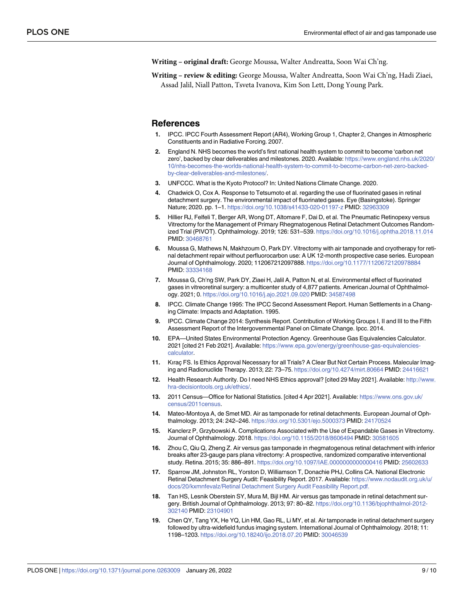<span id="page-9-0"></span>**Writing – original draft:** George Moussa, Walter Andreatta, Soon Wai Ch'ng.

**Writing – review & editing:** George Moussa, Walter Andreatta, Soon Wai Ch'ng, Hadi Ziaei, Assad Jalil, Niall Patton, Tsveta Ivanova, Kim Son Lett, Dong Young Park.

#### **References**

- **[1](#page-3-0).** IPCC. IPCC Fourth Assessment Report (AR4), Working Group 1, Chapter 2, Changes in Atmospheric Constituents and in Radiative Forcing. 2007.
- **[2](#page-2-0).** England N. NHS becomes the world's first national health system to commit to become 'carbon net zero', backed by clear deliverables and milestones. 2020. Available: [https://www.england.nhs.uk/2020/](https://www.england.nhs.uk/2020/10/nhs-becomes-the-worlds-national-health-system-to-commit-to-become-carbon-net-zero-backed-by-clear-deliverables-and-milestones/) [10/nhs-becomes-the-worlds-national-health-system-to-commit-to-become-carbon-net-zero-backed](https://www.england.nhs.uk/2020/10/nhs-becomes-the-worlds-national-health-system-to-commit-to-become-carbon-net-zero-backed-by-clear-deliverables-and-milestones/)[by-clear-deliverables-and-milestones/.](https://www.england.nhs.uk/2020/10/nhs-becomes-the-worlds-national-health-system-to-commit-to-become-carbon-net-zero-backed-by-clear-deliverables-and-milestones/)
- **[3](#page-2-0).** UNFCCC. What is the Kyoto Protocol? In: United Nations Climate Change. 2020.
- **[4](#page-2-0).** Chadwick O, Cox A. Response to Tetsumoto et al. regarding the use of fluorinated gases in retinal detachment surgery. The environmental impact of fluorinated gases. Eye (Basingstoke). Springer Nature; 2020. pp. 1–1. <https://doi.org/10.1038/s41433-020-01197-z> PMID: [32963309](http://www.ncbi.nlm.nih.gov/pubmed/32963309)
- **[5](#page-7-0).** Hillier RJ, Felfeli T, Berger AR, Wong DT, Altomare F, Dai D, et al. The Pneumatic Retinopexy versus Vitrectomy for the Management of Primary Rhegmatogenous Retinal Detachment Outcomes Randomized Trial (PIVOT). Ophthalmology. 2019; 126: 531–539. <https://doi.org/10.1016/j.ophtha.2018.11.014> PMID: [30468761](http://www.ncbi.nlm.nih.gov/pubmed/30468761)
- **[6](#page-7-0).** Moussa G, Mathews N, Makhzoum O, Park DY. Vitrectomy with air tamponade and cryotherapy for retinal detachment repair without perfluorocarbon use: A UK 12-month prospective case series. European Journal of Ophthalmology. 2020; 112067212097888. <https://doi.org/10.1177/1120672120978884> PMID: [33334168](http://www.ncbi.nlm.nih.gov/pubmed/33334168)
- **[7](#page-3-0).** Moussa G, Ch'ng SW, Park DY, Ziaei H, Jalil A, Patton N, et al. Environmental effect of fluorinated gases in vitreoretinal surgery: a multicenter study of 4,877 patients. American Journal of Ophthalmology. 2021; 0. <https://doi.org/10.1016/j.ajo.2021.09.020> PMID: [34587498](http://www.ncbi.nlm.nih.gov/pubmed/34587498)
- **[8](#page-3-0).** IPCC. Climate Change 1995: The IPCC Second Assessment Report. Human Settlements in a Changing Climate: Impacts and Adaptation. 1995.
- **[9](#page-3-0).** IPCC. Climate Change 2014: Synthesis Report. Contribution of Working Groups I, II and III to the Fifth Assessment Report of the Intergovernmental Panel on Climate Change. Ipcc. 2014.
- **[10](#page-6-0).** EPA—United States Environmental Protection Agency. Greenhouse Gas Equivalencies Calculator. 2021 [cited 21 Feb 2021]. Available: [https://www.epa.gov/energy/greenhouse-gas-equivalencies](https://www.epa.gov/energy/greenhouse-gas-equivalencies-calculator)[calculator](https://www.epa.gov/energy/greenhouse-gas-equivalencies-calculator).
- **[11](#page-4-0).** Kirac FS. Is Ethics Approval Necessary for all Trials? A Clear But Not Certain Process. Malecular Imaging and Radionuclide Therapy. 2013; 22: 73–75. <https://doi.org/10.4274/mirt.80664> PMID: [24416621](http://www.ncbi.nlm.nih.gov/pubmed/24416621)
- **[12](#page-4-0).** Health Research Authority. Do I need NHS Ethics approval? [cited 29 May 2021]. Available: [http://www.](http://www.hra-decisiontools.org.uk/ethics/) [hra-decisiontools.org.uk/ethics/.](http://www.hra-decisiontools.org.uk/ethics/)
- **[13](#page-6-0).** 2011 Census—Office for National Statistics. [cited 4 Apr 2021]. Available: [https://www.ons.gov.uk/](https://www.ons.gov.uk/census/2011census) [census/2011census](https://www.ons.gov.uk/census/2011census).
- **[14](#page-7-0).** Mateo-Montoya A, de Smet MD. Air as tamponade for retinal detachments. European Journal of Ophthalmology. 2013; 24: 242–246. <https://doi.org/10.5301/ejo.5000373> PMID: [24170524](http://www.ncbi.nlm.nih.gov/pubmed/24170524)
- **[15](#page-7-0).** Kanclerz P, Grzybowski A. Complications Associated with the Use of Expandable Gases in Vitrectomy. Journal of Ophthalmology. 2018. <https://doi.org/10.1155/2018/8606494> PMID: [30581605](http://www.ncbi.nlm.nih.gov/pubmed/30581605)
- **[16](#page-7-0).** Zhou C, Qiu Q, Zheng Z. Air versus gas tamponade in rhegmatogenous retinal detachment with inferior breaks after 23-gauge pars plana vitrectomy: A prospective, randomized comparative interventional study. Retina. 2015; 35: 886–891. <https://doi.org/10.1097/IAE.0000000000000416> PMID: [25602633](http://www.ncbi.nlm.nih.gov/pubmed/25602633)
- **[17](#page-7-0).** Sparrow JM, Johnston RL, Yorston D, Williamson T, Donachie PHJ, Collins CA. National Electronic Retinal Detachment Surgery Audit: Feasibility Report. 2017. Available: [https://www.nodaudit.org.uk/u/](https://www.nodaudit.org.uk/u/docs/20/kxmnfevalz/RetinalDetachmentSurgeryAuditFeasibilityReport.pdf.) [docs/20/kxmnfevalz/Retinal](https://www.nodaudit.org.uk/u/docs/20/kxmnfevalz/RetinalDetachmentSurgeryAuditFeasibilityReport.pdf.) Detachment Surgery Audit Feasibility Report.pdf.
- **[18](#page-7-0).** Tan HS, Lesnik Oberstein SY, Mura M, Bijl HM. Air versus gas tamponade in retinal detachment surgery. British Journal of Ophthalmology. 2013; 97: 80–82. [https://doi.org/10.1136/bjophthalmol-2012-](https://doi.org/10.1136/bjophthalmol-2012-302140) [302140](https://doi.org/10.1136/bjophthalmol-2012-302140) PMID: [23104901](http://www.ncbi.nlm.nih.gov/pubmed/23104901)
- **19.** Chen QY, Tang YX, He YQ, Lin HM, Gao RL, Li MY, et al. Air tamponade in retinal detachment surgery followed by ultra-widefield fundus imaging system. International Journal of Ophthalmology. 2018; 11: 1198–1203. <https://doi.org/10.18240/ijo.2018.07.20> PMID: [30046539](http://www.ncbi.nlm.nih.gov/pubmed/30046539)